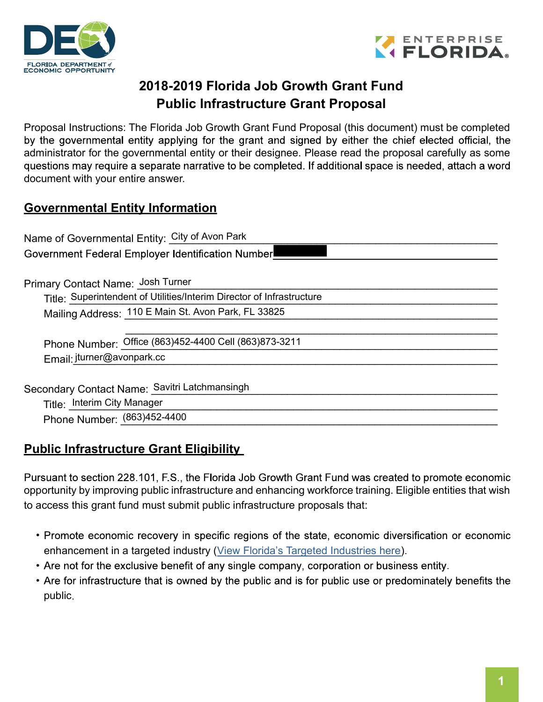



# 2018-2019 Florida Job Growth Grant Fund Public Infrastructure Grant Proposal

Proposal Instructions: The Florida Job Growth Grant Fund Proposal (this document) must be completed by the governmental entity applying for the grant and signed by either the chief elected official, the administrator for the governmental entity or their designee. Please read the proposal carefully as some questions may require a separate narrative to be completed. If additional space is needed, attach a word document with your entire answer.

### Governmental Entity Information

Name of Governmental Entity: City of Avon Park

Government Federal Employer Identification Number

Primary Contact Name: \_\_\_\_\_\_\_\_\_\_\_\_\_\_\_\_\_\_\_\_\_\_\_\_\_\_\_\_\_\_\_\_\_\_\_\_\_\_\_\_\_\_\_\_\_\_\_\_\_\_\_\_\_\_\_\_\_\_\_\_\_\_ Josh Turner

Title: Superintendent of Utilities/Interim Director of Infrastructure

Mailing Address: \_110 E Main St. Avon Park, FL 33825

Phone Number: Office (863)452-4400 Cell (863)873-3211

Email: jturner@avonpark.cc

Secondary Contact Name: Savitri Latchmansingh with the contract of the contract of the contract of the contract of the contract of the contract of the contract of the contract of the contract of the contract of the contrac

Title: \_\_\_\_\_\_\_\_\_\_\_\_\_\_\_\_\_\_\_\_\_\_\_\_\_\_\_\_\_\_\_\_\_\_\_\_\_\_\_\_\_\_\_\_\_\_\_\_\_\_\_\_\_\_\_\_\_\_\_\_\_\_\_\_\_\_\_\_\_\_\_\_\_\_ Interim City Manager

Phone Number: \_\_\_\_\_\_\_\_\_\_\_\_\_\_\_\_\_\_\_\_\_\_\_\_\_\_\_\_\_\_\_\_\_\_\_\_\_\_\_\_\_\_\_\_\_\_\_\_\_\_\_\_\_\_\_\_\_\_\_\_\_\_\_\_ (863)452-4400

# **Public Infrastructure Grant Eligibility**

Pursuant to section 228.101, F.S., the Florida Job Growth Grant Fund was created to promote economic opportunity by improving public infrastructure and enhancing workforce training. Eligible entities that wish to access this grant fund must submit public infrastructure proposals that:

 $\mathcal{L}_\text{max}$  , and the contribution of the contribution of the contribution of the contribution of the contribution of the contribution of the contribution of the contribution of the contribution of the contribution of t

- Promote economic recovery in specific regions of the state, economic diversification or economic enhancement in a targeted industry (View Florida's Targeted Industries here).
- Are not for the exclusive benefit of any single company, corporation or business entity.
- Are for infrastructure that is owned by the public and is for public use or predominately benefits the public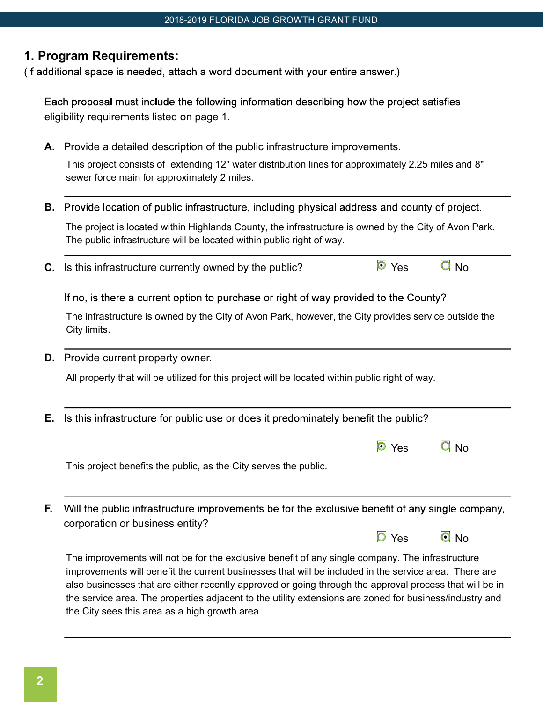#### 1. Program Requirements:

(If additional space is needed, attach a word document with your entire answer.)

Each proposal must include the following information describing how the project satisfies eligibility requirements listed on page 1.

- A. Provide a detailed description of the public infrastructure improvements. This project consists of extending 12" water distribution lines for approximately 2.25 miles and 8" sewer force main for approximately 2 miles.
- **B.** Provide location of public infrastructure, including physical address and county of project. The project is located within Highlands County, the infrastructure is owned by the City of Avon Park. The public infrastructure will be located within public right of way.
- **C.** Is this infrastructure currently owned by the public?  $\Box$  Yes  $\Box$  No

If no, is there a current option to purchase or right of way provided to the County?

The infrastructure is owned by the City of Avon Park, however, the City provides service outside the City limits.

D. Provide current property owner.

All property that will be utilized for this project will be located within public right of way.

**E.** Is this infrastructure for public use or does it predominately benefit the public?

| $\bullet$ Yes | $\Omega$ No |  |
|---------------|-------------|--|
|               |             |  |

 $\overline{O}$  Yes  $\overline{O}$  No

This project benefits the public, as the City serves the public.

F. Will the public infrastructure improvements be for the exclusive benefit of any single company, corporation or business entity?

The improvements will not be for the exclusive benefit of any single company. The infrastructure improvements will benefit the current businesses that will be included in the service area. There are also businesses that are either recently approved or going through the approval process that will be in the service area. The properties adjacent to the utility extensions are zoned for business/industry and the City sees this area as a high growth area.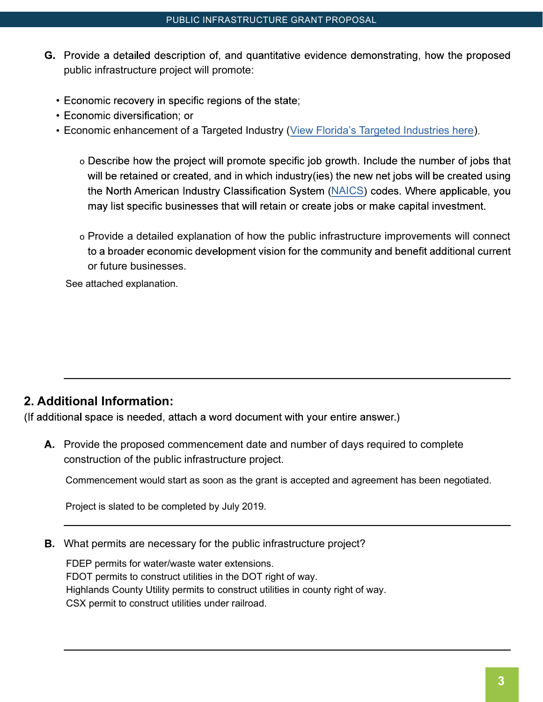- G. Provide a detailed description of, and quantitative evidence demonstrating, how the proposed public infrastructure project will promote:
	- Economic recovery in specific regions of the state;
	- Economic diversification; or
	- Economic enhancement of a Targeted Industry (View Florida's Targeted Industries here).
		- o Describe how the project will promote specific job growth. Include the number of jobs that will be retained or created, and in which industry(ies) the new net jobs will be created using the North American Industry Classification System (NAICS) codes. Where applicable, you may list specific businesses that will retain or create jobs or make capital investment.
		- o Provide a detailed explanation of how the public infrastructure improvements will connect to a broader economic development vision for the community and benefit additional current or future businesses.

See attached explanation.

# 2. Additional Information:

(If additional space is needed, attach a word document with your entire answer.)

A. Provide the proposed commencement date and number of days required to complete construction of the public infrastructure project.

Commencement would start as soon as the grant is accepted and agreement has been negotiated.

Project is slated to be completed by July 2019.

**B.** What permits are necessary for the public infrastructure project?

FDEP permits for water/waste water extensions. FDOT permits to construct utilities in the DOT right of way. Highlands County Utility permits to construct utilities in county right of way. CSX permit to construct utilities under railroad.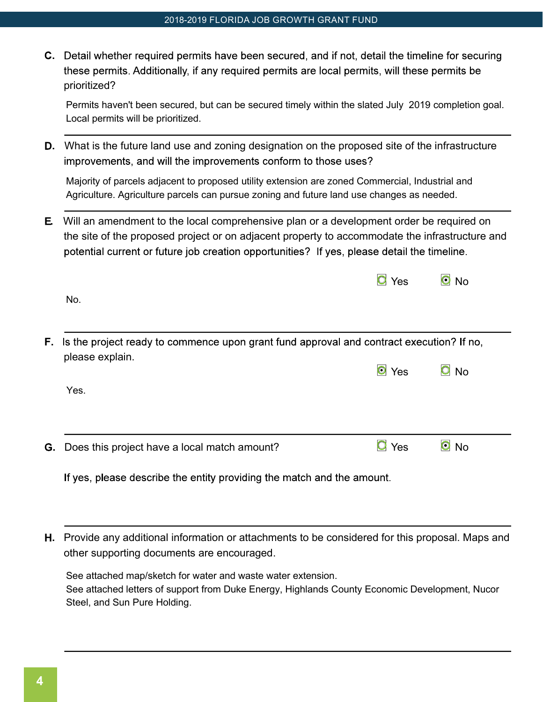C. Detail whether required permits have been secured, and if not, detail the timeline for securing these permits. Additionally, if any required permits are local permits, will these permits be prioritized?

Permits haven't been secured, but can be secured timely within the slated July 2019 completion goal. Local permits will be prioritized.

D. What is the future land use and zoning designation on the proposed site of the infrastructure improvements, and will the improvements conform to those uses?

Majority of parcels adjacent to proposed utility extension are zoned Commercial, Industrial and Agriculture. Agriculture parcels can pursue zoning and future land use changes as needed.

E. Will an amendment to the local comprehensive plan or a development order be required on the site of the proposed project or on adjacent property to accommodate the infrastructure and potential current or future job creation opportunities? If yes, please detail the timeline.

 $\equiv$ 

 $\overline{a}$ 

| No.                                                                                                                   | <b>O</b> Yes       | $\bullet$ No      |
|-----------------------------------------------------------------------------------------------------------------------|--------------------|-------------------|
| <b>F.</b> Is the project ready to commence upon grant fund approval and contract execution? If no,<br>please explain. | O Yes              | $\overline{O}$ No |
| Yes.                                                                                                                  |                    |                   |
| G. Does this project have a local match amount?                                                                       | $\overline{O}$ Yes | $\bullet$ No      |
| If yes, please describe the entity providing the match and the amount.                                                |                    |                   |

H. Provide any additional information or attachments to be considered for this proposal. Maps and other supporting documents are encouraged.

See attached map/sketch for water and waste water extension. See attached letters of support from Duke Energy, Highlands County Economic Development, Nucor Steel, and Sun Pure Holding.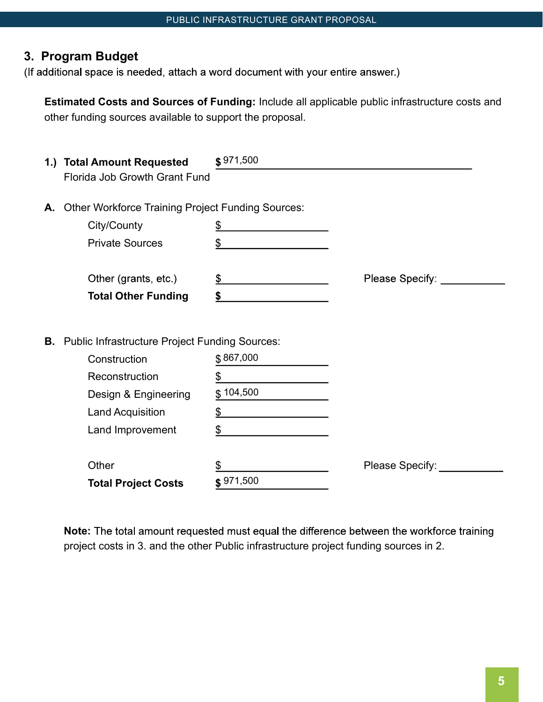# 3. Program Budget

(If additional space is needed, attach a word document with your entire answer.)

Estimated Costs and Sources of Funding: Include all applicable public infrastructure costs and other funding sources available to support the proposal.

|    | 1.) Total Amount Requested                               | \$971,500         |                   |  |
|----|----------------------------------------------------------|-------------------|-------------------|--|
|    | Florida Job Growth Grant Fund                            |                   |                   |  |
| А. | <b>Other Workforce Training Project Funding Sources:</b> |                   |                   |  |
|    | City/County                                              | $\overline{\Phi}$ |                   |  |
|    | <b>Private Sources</b>                                   | \$                |                   |  |
|    | Other (grants, etc.)                                     | \$                | Please Specify: _ |  |
|    | <b>Total Other Funding</b>                               | \$                |                   |  |
|    |                                                          |                   |                   |  |
|    | <b>B.</b> Public Infrastructure Project Funding Sources: |                   |                   |  |
|    | Construction                                             | \$867,000         |                   |  |
|    | Reconstruction                                           | \$                |                   |  |
|    | Design & Engineering                                     | \$104,500         |                   |  |
|    | <b>Land Acquisition</b>                                  | \$                |                   |  |
|    | Land Improvement                                         | \$                |                   |  |
|    | Other                                                    |                   | Please Specify:   |  |
|    | <b>Total Project Costs</b>                               | \$971,500         |                   |  |

Note: The total amount requested must equal the difference between the workforce training project costs in 3. and the other Public infrastructure project funding sources in 2.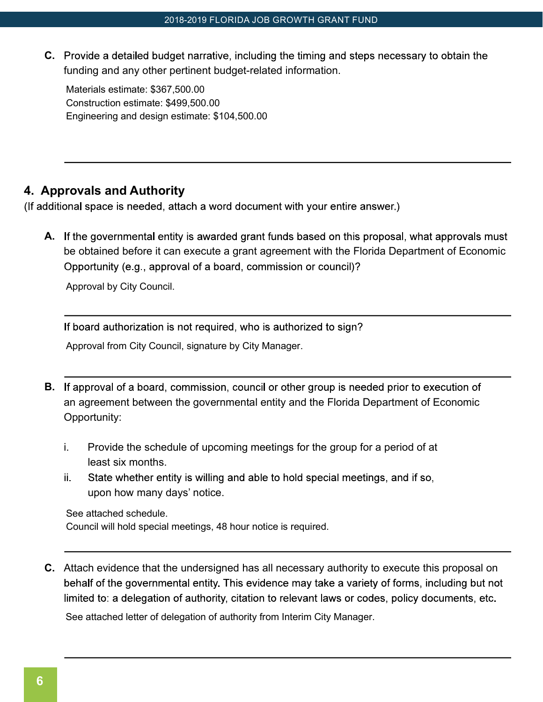C. Provide a detailed budget narrative, including the timing and steps necessary to obtain the funding and any other pertinent budget-related information.

Materials estimate: \$367,500.00 Construction estimate: \$499,500.00 Engineering and design estimate: \$104,500.00

### 4. Approvals and Authority

(If additional space is needed, attach a word document with your entire answer.)

A. If the governmental entity is awarded grant funds based on this proposal, what approvals must be obtained before it can execute a grant agreement with the Florida Department of Economic Opportunity (e.g., approval of a board, commission or council)?

Approval by City Council.

If board authorization is not required, who is authorized to sign?

Approval from City Council, signature by City Manager.

- **B.** If approval of a board, commission, council or other group is needed prior to execution of an agreement between the governmental entity and the Florida Department of Economic Opportunity:
	- i. Provide the schedule of upcoming meetings for the group for a period of at least six months.
	- State whether entity is willing and able to hold special meetings, and if so, ii. upon how many days' notice.

See attached schedule.

Council will hold special meetings, 48 hour notice is required.

C. Attach evidence that the undersigned has all necessary authority to execute this proposal on behalf of the governmental entity. This evidence may take a variety of forms, including but not limited to: a delegation of authority, citation to relevant laws or codes, policy documents, etc.

See attached letter of delegation of authority from Interim City Manager.